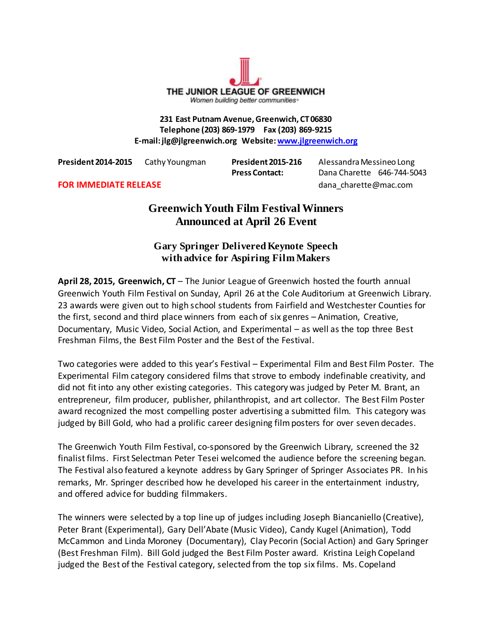THE JUNIOR LEAGUE OF GREENWICH Women building better communities»

**231 East Putnam Avenue, Greenwich, CT 06830 Telephone (203) 869-1979 Fax (203) 869-9215 E-mail: jlg@jlgreenwich.org Website[: www.jlgreenwich.org](http://www.jlgreenwich.org/)**

**President 2014-2015** Cathy Youngman **President 2015-216** Alessandra Messineo Long

**Press Contact:** Dana Charette 646-744-5043

**FOR IMMEDIATE RELEASE** dana\_charette@mac.com

# **Greenwich Youth Film Festival Winners Announced at April 26 Event**

# **Gary Springer Delivered Keynote Speech with advice for Aspiring Film Makers**

**April 28, 2015, Greenwich, CT** – The Junior League of Greenwich hosted the fourth annual Greenwich Youth Film Festival on Sunday, April 26 at the Cole Auditorium at Greenwich Library. 23 awards were given out to high school students from Fairfield and Westchester Counties for the first, second and third place winners from each of six genres – Animation, Creative, Documentary, Music Video, Social Action, and Experimental – as well as the top three Best Freshman Films, the Best Film Poster and the Best of the Festival.

Two categories were added to this year's Festival – Experimental Film and Best Film Poster. The Experimental Film category considered films that strove to embody indefinable creativity, and did not fit into any other existing categories. This category was judged by Peter M. Brant, an entrepreneur, film producer, publisher, philanthropist, and art collector. The Best Film Poster award recognized the most compelling poster advertising a submitted film. This category was judged by Bill Gold, who had a prolific career designing film posters for over seven decades.

The Greenwich Youth Film Festival, co-sponsored by the Greenwich Library, screened the 32 finalist films. First Selectman Peter Tesei welcomed the audience before the screening began. The Festival also featured a keynote address by Gary Springer of Springer Associates PR. In his remarks, Mr. Springer described how he developed his career in the entertainment industry, and offered advice for budding filmmakers.

The winners were selected by a top line up of judges including Joseph Biancaniello (Creative), Peter Brant (Experimental), Gary Dell'Abate (Music Video), Candy Kugel (Animation), Todd McCammon and Linda Moroney (Documentary), Clay Pecorin (Social Action) and Gary Springer (Best Freshman Film). Bill Gold judged the Best Film Poster award. Kristina Leigh Copeland judged the Best of the Festival category, selected from the top six films. Ms. Copeland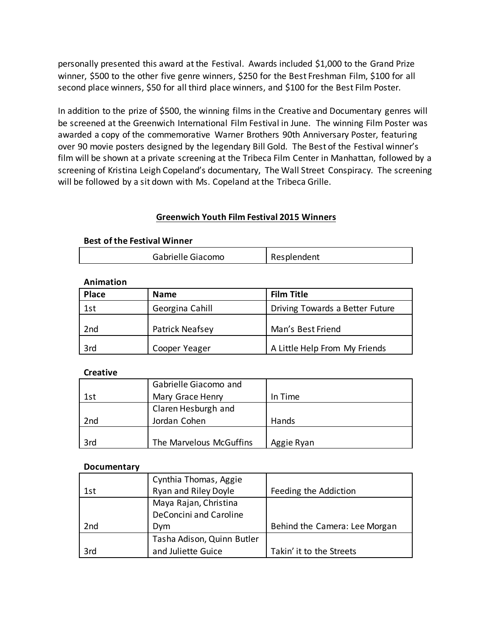personally presented this award at the Festival. Awards included \$1,000 to the Grand Prize winner, \$500 to the other five genre winners, \$250 for the Best Freshman Film, \$100 for all second place winners, \$50 for all third place winners, and \$100 for the Best Film Poster.

In addition to the prize of \$500, the winning films in the Creative and Documentary genres will be screened at the Greenwich International Film Festival in June. The winning Film Poster was awarded a copy of the commemorative Warner Brothers 90th Anniversary Poster, featuring over 90 movie posters designed by the legendary Bill Gold. The Best of the Festival winner's film will be shown at a private screening at the Tribeca Film Center in Manhattan, followed by a screening of Kristina Leigh Copeland's documentary, The Wall Street Conspiracy. The screening will be followed by a sit down with Ms. Copeland at the Tribeca Grille.

# **Greenwich Youth Film Festival 2015 Winners**

### **Best of the Festival Winner**

| Resplendent |
|-------------|
|             |

### **Animation**

| <b>Place</b>    | <b>Name</b>            | <b>Film Title</b>               |
|-----------------|------------------------|---------------------------------|
| 1st             | Georgina Cahill        | Driving Towards a Better Future |
| 2 <sub>nd</sub> | <b>Patrick Neafsey</b> | Man's Best Friend               |
| 3rd             | Cooper Yeager          | A Little Help From My Friends   |

#### **Creative**

|     | Gabrielle Giacomo and   |            |
|-----|-------------------------|------------|
| 1st | Mary Grace Henry        | In Time    |
|     | Claren Hesburgh and     |            |
| 2nd | Jordan Cohen            | Hands      |
|     |                         |            |
| 3rd | The Marvelous McGuffins | Aggie Ryan |

#### **Documentary**

|     | Cynthia Thomas, Aggie      |                               |
|-----|----------------------------|-------------------------------|
| 1st | Ryan and Riley Doyle       | Feeding the Addiction         |
|     | Maya Rajan, Christina      |                               |
|     | DeConcini and Caroline     |                               |
| 2nd | Dvm                        | Behind the Camera: Lee Morgan |
|     | Tasha Adison, Quinn Butler |                               |
| 3rd | and Juliette Guice         | Takin' it to the Streets      |